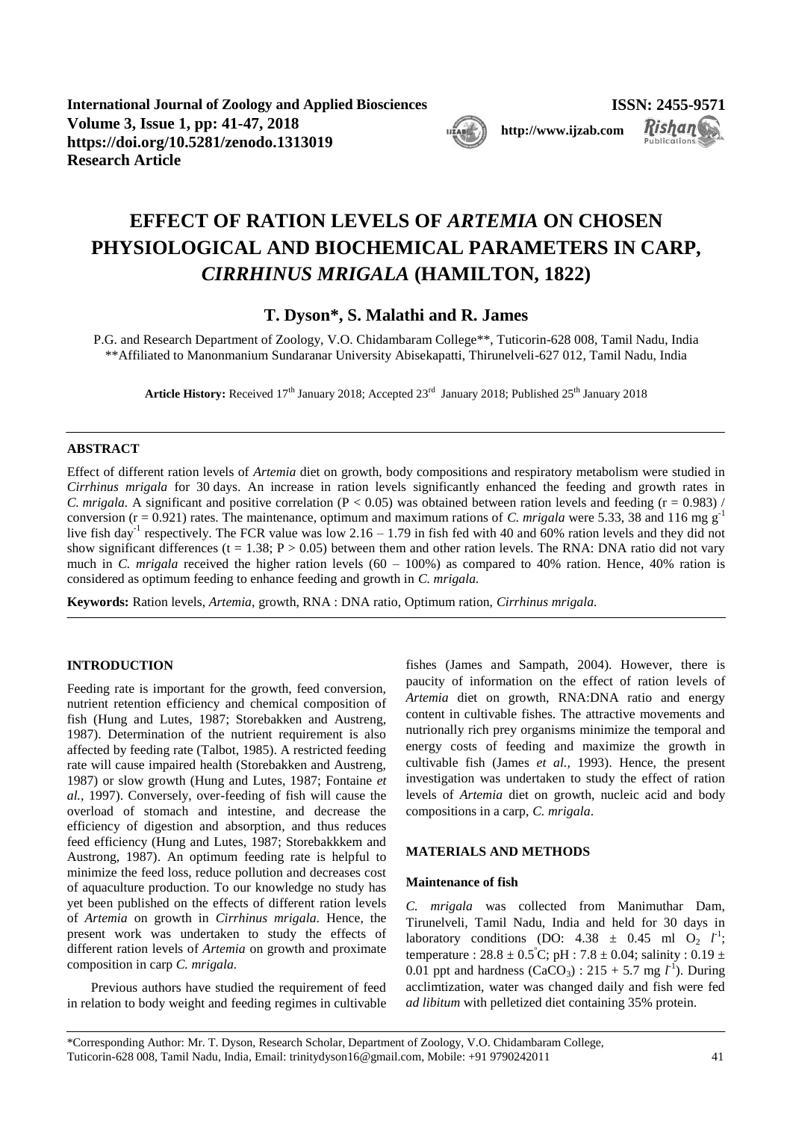**International Journal of Zoology and Applied Biosciences ISSN: 2455-9571 Volume 3, Issue 1, pp: 41-47, 2018 [http://www.ijzab.com](http://www.ijzab.co/#m) https://doi.org/10.5281/zenodo.1313019 Research Article**



**Rishan** 

**Publication** 

# **EFFECT OF RATION LEVELS OF** *ARTEMIA* **ON CHOSEN PHYSIOLOGICAL AND BIOCHEMICAL PARAMETERS IN CARP,**  *CIRRHINUS MRIGALA* **(HAMILTON, 1822)**

# **T. Dyson\*, S. Malathi and R. James**

P.G. and Research Department of Zoology, V.O. Chidambaram College\*\*, Tuticorin-628 008, Tamil Nadu, India \*\*Affiliated to Manonmanium Sundaranar University Abisekapatti, Thirunelveli-627 012, Tamil Nadu, India

Article History: Received 17<sup>th</sup> January 2018; Accepted 23<sup>rd</sup> January 2018; Published 25<sup>th</sup> January 2018

# **ABSTRACT**

Effect of different ration levels of *Artemia* diet on growth, body compositions and respiratory metabolism were studied in *Cirrhinus mrigala* for 30 days. An increase in ration levels significantly enhanced the feeding and growth rates in *C. mrigala.* A significant and positive correlation ( $P < 0.05$ ) was obtained between ration levels and feeding ( $r = 0.983$ ) / conversion  $(r = 0.921)$  rates. The maintenance, optimum and maximum rations of *C. mrigala* were 5.33, 38 and 116 mg g<sup>-1</sup> live fish day<sup>-1</sup> respectively. The FCR value was low 2.16 – 1.79 in fish fed with 40 and 60% ration levels and they did not show significant differences (t = 1.38; P > 0.05) between them and other ration levels. The RNA: DNA ratio did not vary much in *C. mrigala* received the higher ration levels (60 – 100%) as compared to 40% ration. Hence, 40% ration is considered as optimum feeding to enhance feeding and growth in *C. mrigala.*

**Keywords:** Ration levels, *Artemia,* growth, RNA : DNA ratio, Optimum ration, *Cirrhinus mrigala.*

# **INTRODUCTION**

Feeding rate is important for the growth, feed conversion, nutrient retention efficiency and chemical composition of fish (Hung and Lutes, 1987; Storebakken and Austreng, 1987). Determination of the nutrient requirement is also affected by feeding rate (Talbot, 1985). A restricted feeding rate will cause impaired health (Storebakken and Austreng, 1987) or slow growth (Hung and Lutes, 1987; Fontaine *et al.,* 1997). Conversely, over-feeding of fish will cause the overload of stomach and intestine, and decrease the efficiency of digestion and absorption, and thus reduces feed efficiency (Hung and Lutes, 1987; Storebakkkem and Austrong, 1987). An optimum feeding rate is helpful to minimize the feed loss, reduce pollution and decreases cost of aquaculture production. To our knowledge no study has yet been published on the effects of different ration levels of *Artemia* on growth in *Cirrhinus mrigala*. Hence, the present work was undertaken to study the effects of different ration levels of *Artemia* on growth and proximate composition in carp *C. mrigala.* 

Previous authors have studied the requirement of feed in relation to body weight and feeding regimes in cultivable

fishes (James and Sampath, 2004). However, there is paucity of information on the effect of ration levels of *Artemia* diet on growth, RNA:DNA ratio and energy content in cultivable fishes. The attractive movements and nutrionally rich prey organisms minimize the temporal and energy costs of feeding and maximize the growth in cultivable fish (James *et al.,* 1993). Hence, the present investigation was undertaken to study the effect of ration levels of *Artemia* diet on growth, nucleic acid and body compositions in a carp, *C. mrigala*.

# **MATERIALS AND METHODS**

### **Maintenance of fish**

*C. mrigala* was collected from Manimuthar Dam, Tirunelveli, Tamil Nadu, India and held for 30 days in laboratory conditions (DO:  $4.38 \pm 0.45$  ml O<sub>2</sub>  $l^1$ ; temperature :  $28.8 \pm 0.5^{\circ}$ C; pH :  $7.8 \pm 0.04$ ; salinity :  $0.19 \pm 0.04$ 0.01 ppt and hardness  $(CaCO_3) : 215 + 5.7$  mg  $l^{-1}$ ). During acclimtization, water was changed daily and fish were fed *ad libitum* with pelletized diet containing 35% protein.

\*Corresponding Author: Mr. T. Dyson, Research Scholar, Department of Zoology, V.O. Chidambaram College, Tuticorin-628 008, Tamil Nadu, India, Email: trinitydyson16@gmail.com, Mobile: +91 9790242011 41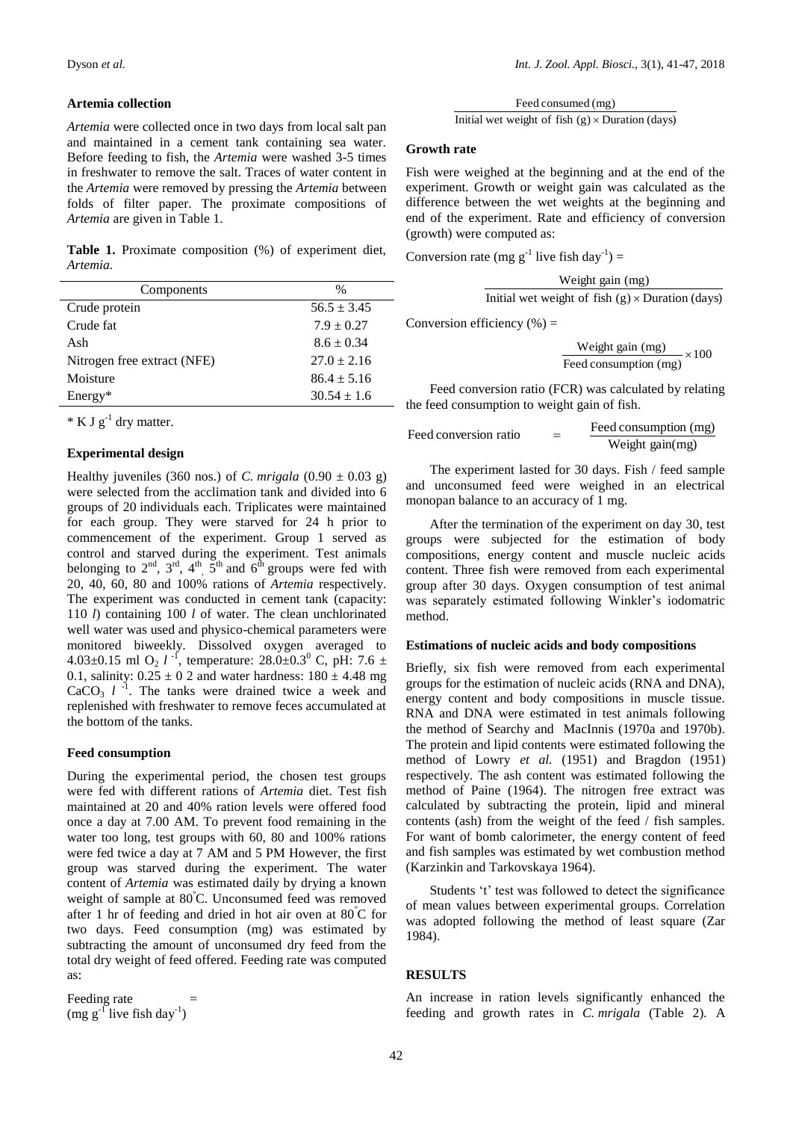#### **Artemia collection**

*Artemia* were collected once in two days from local salt pan and maintained in a cement tank containing sea water. Before feeding to fish, the *Artemia* were washed 3-5 times in freshwater to remove the salt. Traces of water content in the *Artemia* were removed by pressing the *Artemia* between folds of filter paper. The proximate compositions of *Artemia* are given in Table 1.

**Table 1.** Proximate composition (%) of experiment diet, *Artemia.*

| Components                  | $\frac{0}{0}$   |
|-----------------------------|-----------------|
| Crude protein               | $56.5 \pm 3.45$ |
| Crude fat                   | $7.9 \pm 0.27$  |
| Ash                         | $8.6 \pm 0.34$  |
| Nitrogen free extract (NFE) | $27.0 \pm 2.16$ |
| Moisture                    | $86.4 \pm 5.16$ |
| $Energy*$                   | $30.54 \pm 1.6$ |

 $*$  K J  $g^{-1}$  dry matter.

### **Experimental design**

Healthy juveniles (360 nos.) of *C. mrigala* (0.90  $\pm$  0.03 g) were selected from the acclimation tank and divided into 6 groups of 20 individuals each. Triplicates were maintained for each group. They were starved for 24 h prior to commencement of the experiment. Group 1 served as control and starved during the experiment. Test animals belonging to  $2^{nd}$ ,  $3^{rd}$ ,  $4^{th}$ ,  $5^{th}$  and  $6^{th}$  groups were fed with 20, 40, 60, 80 and 100% rations of *Artemia* respectively. The experiment was conducted in cement tank (capacity: 110 *l*) containing 100 *l* of water. The clean unchlorinated well water was used and physico-chemical parameters were monitored biweekly. Dissolved oxygen averaged to 4.03 $\pm$ 0.15 ml O<sub>2</sub> *l*<sup>-1</sup>, temperature: 28.0 $\pm$ 0.3<sup>0</sup> C, pH: 7.6  $\pm$ 0.1, salinity:  $0.25 \pm 0.2$  and water hardness:  $180 \pm 4.48$  mg  $CaCO<sub>3</sub> l<sup>-1</sup>$ . The tanks were drained twice a week and replenished with freshwater to remove feces accumulated at the bottom of the tanks.

#### **Feed consumption**

During the experimental period, the chosen test groups were fed with different rations of *Artemia* diet. Test fish maintained at 20 and 40% ration levels were offered food once a day at 7.00 AM. To prevent food remaining in the water too long, test groups with 60, 80 and 100% rations were fed twice a day at 7 AM and 5 PM However, the first group was starved during the experiment. The water content of *Artemia* was estimated daily by drying a known weight of sample at 80<sup>º</sup>C. Unconsumed feed was removed after 1 hr of feeding and dried in hot air oven at 80<sup>º</sup>C for two days. Feed consumption (mg) was estimated by subtracting the amount of unconsumed dry feed from the total dry weight of feed offered. Feeding rate was computed as:

Feeding rate  $(mg g^{-1})$  live fish day<sup>-1</sup>) Initial wet weight of fish  $(g) \times$  Duration (days) Feed consumed (mg)

#### **Growth rate**

Fish were weighed at the beginning and at the end of the experiment. Growth or weight gain was calculated as the difference between the wet weights at the beginning and end of the experiment. Rate and efficiency of conversion (growth) were computed as:

Conversion rate (mg  $g^{-1}$  live fish day<sup>-1</sup>) =

| Weight gain (mg)                                        |
|---------------------------------------------------------|
| Initial wet weight of fish $(g) \times$ Duration (days) |

Conversion efficiency  $(\% )$  =

Weight gain (mg)  $\times 100$ Feed consumption (mg)  $-\times 100$ 

Feed conversion ratio (FCR) was calculated by relating the feed consumption to weight gain of fish.

| Feed conversion ratio | Feed consumption (mg) |  |  |
|-----------------------|-----------------------|--|--|
|                       | Weight gain(mg)       |  |  |

The experiment lasted for 30 days. Fish / feed sample and unconsumed feed were weighed in an electrical monopan balance to an accuracy of 1 mg.

After the termination of the experiment on day 30, test groups were subjected for the estimation of body compositions, energy content and muscle nucleic acids content. Three fish were removed from each experimental group after 30 days. Oxygen consumption of test animal was separately estimated following Winkler's iodomatric method.

#### **Estimations of nucleic acids and body compositions**

Briefly, six fish were removed from each experimental groups for the estimation of nucleic acids (RNA and DNA), energy content and body compositions in muscle tissue. RNA and DNA were estimated in test animals following the method of Searchy and MacInnis (1970a and 1970b). The protein and lipid contents were estimated following the method of Lowry *et al.* (1951) and Bragdon (1951) respectively. The ash content was estimated following the method of Paine (1964). The nitrogen free extract was calculated by subtracting the protein, lipid and mineral contents (ash) from the weight of the feed / fish samples. For want of bomb calorimeter, the energy content of feed and fish samples was estimated by wet combustion method (Karzinkin and Tarkovskaya 1964).

Students 't' test was followed to detect the significance of mean values between experimental groups. Correlation was adopted following the method of least square (Zar 1984).

#### **RESULTS**

An increase in ration levels significantly enhanced the feeding and growth rates in *C. mrigala* (Table 2)*.* A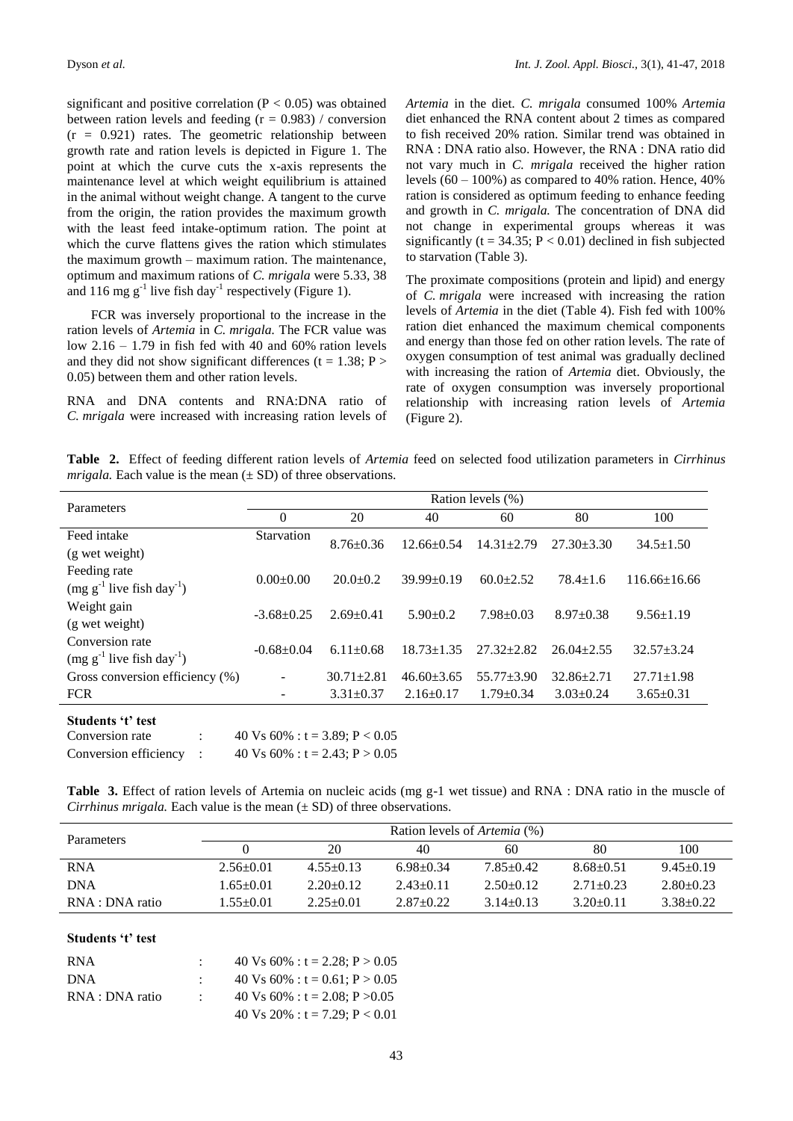significant and positive correlation ( $P < 0.05$ ) was obtained between ration levels and feeding  $(r = 0.983)$  / conversion  $(r = 0.921)$  rates. The geometric relationship between growth rate and ration levels is depicted in Figure 1. The point at which the curve cuts the x-axis represents the maintenance level at which weight equilibrium is attained in the animal without weight change. A tangent to the curve from the origin, the ration provides the maximum growth with the least feed intake-optimum ration. The point at which the curve flattens gives the ration which stimulates the maximum growth – maximum ration. The maintenance, optimum and maximum rations of *C. mrigala* were 5.33, 38 and 116 mg  $g^{-1}$  live fish day<sup>-1</sup> respectively (Figure 1).

FCR was inversely proportional to the increase in the ration levels of *Artemia* in *C. mrigala.* The FCR value was low  $2.16 - 1.79$  in fish fed with 40 and 60% ration levels and they did not show significant differences ( $t = 1.38$ ; P > 0.05) between them and other ration levels.

RNA and DNA contents and RNA:DNA ratio of *C. mrigala* were increased with increasing ration levels of *Artemia* in the diet. *C. mrigala* consumed 100% *Artemia* diet enhanced the RNA content about 2 times as compared to fish received 20% ration. Similar trend was obtained in RNA : DNA ratio also. However, the RNA : DNA ratio did not vary much in *C. mrigala* received the higher ration levels  $(60 - 100\%)$  as compared to 40% ration. Hence, 40% ration is considered as optimum feeding to enhance feeding and growth in *C. mrigala.* The concentration of DNA did not change in experimental groups whereas it was significantly ( $t = 34.35$ ;  $P < 0.01$ ) declined in fish subjected to starvation (Table 3).

The proximate compositions (protein and lipid) and energy of *C. mrigala* were increased with increasing the ration levels of *Artemia* in the diet (Table 4). Fish fed with 100% ration diet enhanced the maximum chemical components and energy than those fed on other ration levels. The rate of oxygen consumption of test animal was gradually declined with increasing the ration of *Artemia* diet. Obviously, the rate of oxygen consumption was inversely proportional relationship with increasing ration levels of *Artemia*  (Figure 2).

**Table 2.** Effect of feeding different ration levels of *Artemia* feed on selected food utilization parameters in *Cirrhinus mrigala.* Each value is the mean  $(\pm SD)$  of three observations.

| Parameters                                                    | Ration levels (%) |                  |                  |                  |                  |                    |  |
|---------------------------------------------------------------|-------------------|------------------|------------------|------------------|------------------|--------------------|--|
|                                                               | $\theta$          | 20               | 40               | 60               | 80               | 100                |  |
| Feed intake                                                   | Starvation        | $8.76 \pm 0.36$  | $12.66 \pm 0.54$ | $14.31 \pm 2.79$ | $27.30 \pm 3.30$ | $34.5 \pm 1.50$    |  |
| (g wet weight)                                                |                   |                  |                  |                  |                  |                    |  |
| Feeding rate<br>$(mg g^{-1}$ live fish day <sup>-1</sup> )    | $0.00+0.00$       | $20.0+0.2$       | $39.99 \pm 0.19$ | $60.0+2.52$      | $78.4 \pm 1.6$   | $116.66 \pm 16.66$ |  |
| Weight gain<br>(g wet weight)                                 | $-3.68+0.25$      | $2.69 \pm 0.41$  | $5.90 \pm 0.2$   | $7.98 \pm 0.03$  | $8.97 \pm 0.38$  | $9.56 \pm 1.19$    |  |
| Conversion rate<br>$(mg g^{-1}$ live fish day <sup>-1</sup> ) | $-0.68 \pm 0.04$  | $6.11 \pm 0.68$  | $18.73 \pm 1.35$ | $27.32 + 2.82$   | $26.04 \pm 2.55$ | $32.57 + 3.24$     |  |
| Gross conversion efficiency (%)                               | ۰                 | $30.71 \pm 2.81$ | $46.60 \pm 3.65$ | $55.77 \pm 3.90$ | $32.86 + 2.71$   | $27.71 \pm 1.98$   |  |
| <b>FCR</b>                                                    |                   | $3.31 \pm 0.37$  | $2.16 \pm 0.17$  | $1.79 \pm 0.34$  | $3.03 \pm 0.24$  | $3.65 \pm 0.31$    |  |
| Students 't' test                                             |                   |                  |                  |                  |                  |                    |  |

Conversion rate :  $40 \text{ Vs } 60\%$  :  $t = 3.89$ ;  $P < 0.05$ Conversion efficiency :  $40 \text{ Vs } 60\%$  :  $t = 2.43$ ;  $P > 0.05$ 

**Table 3.** Effect of ration levels of Artemia on nucleic acids (mg g-1 wet tissue) and RNA : DNA ratio in the muscle of *Cirrhinus mrigala.* Each value is the mean  $(\pm SD)$  of three observations.

| Parameters      | Ration levels of <i>Artemia</i> (%) |             |                 |               |                 |                 |  |
|-----------------|-------------------------------------|-------------|-----------------|---------------|-----------------|-----------------|--|
|                 |                                     | 20          | 40              | 60            | 80              | 100             |  |
| <b>RNA</b>      | $2.56 \pm 0.01$                     | $4.55+0.13$ | $6.98 \pm 0.34$ | $7.85 + 0.42$ | $8.68 \pm 0.51$ | $9.45 \pm 0.19$ |  |
| <b>DNA</b>      | $1.65 + 0.01$                       | $2.20+0.12$ | $2.43+0.11$     | $2.50+0.12$   | $2.71 + 0.23$   | $2.80 + 0.23$   |  |
| RNA : DNA ratio | $1.55 + 0.01$                       | $2.25+0.01$ | $2.87+0.22$     | $3.14 + 0.13$ | $3.20 + 0.11$   | $3.38 + 0.22$   |  |

# **Students 't' test**

| <b>RNA</b>      | 40 Vs 60% : t = 2.28; P > 0.05    |
|-----------------|-----------------------------------|
| <b>DNA</b>      | 40 Vs 60% : t = 0.61; P > 0.05    |
| RNA : DNA ratio | 40 Vs 60% : t = 2.08: P > 0.05    |
|                 | 40 Vs 20% : $t = 7.29$ ; P < 0.01 |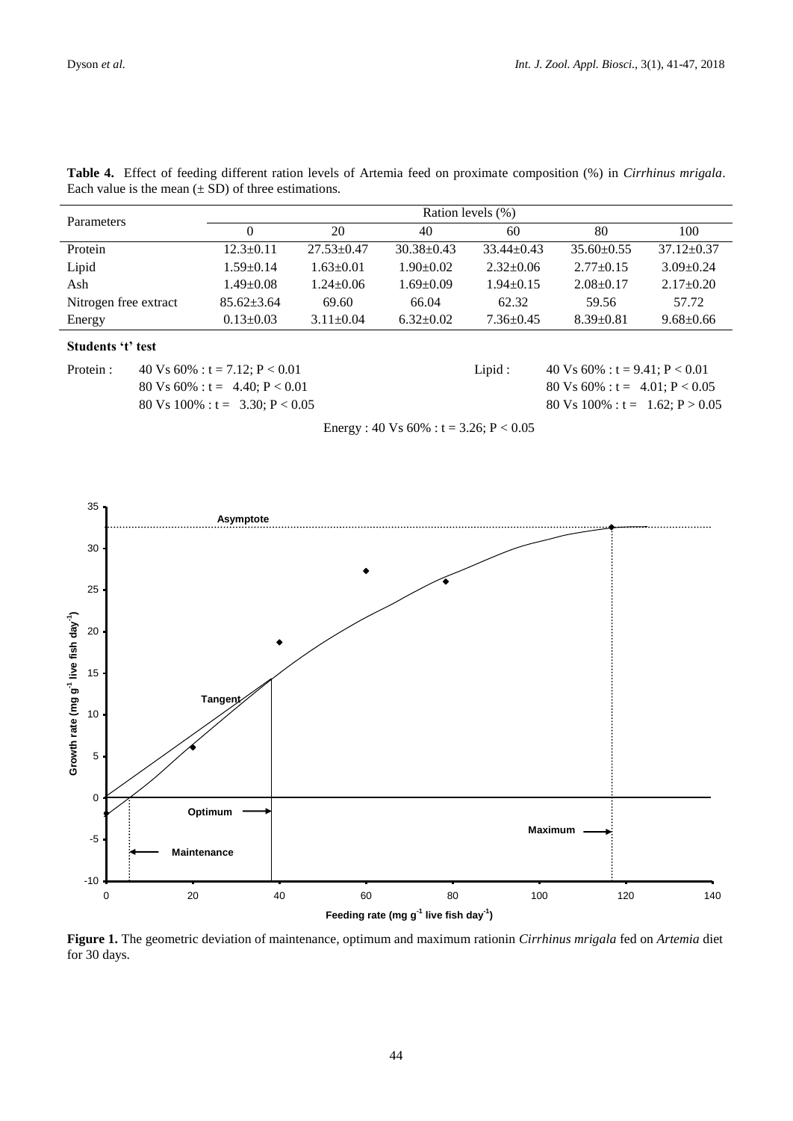| <b>Parameters</b>     | Ration levels (%) |                  |                  |                 |                  |                  |  |
|-----------------------|-------------------|------------------|------------------|-----------------|------------------|------------------|--|
|                       |                   | 20               | 40               | 60              | 80               | 100              |  |
| Protein               | $12.3 \pm 0.11$   | $27.53 \pm 0.47$ | $30.38 \pm 0.43$ | $33.44 + 0.43$  | $35.60 \pm 0.55$ | $37.12 \pm 0.37$ |  |
| Lipid                 | $1.59 \pm 0.14$   | $1.63 \pm 0.01$  | $1.90 \pm 0.02$  | $2.32 \pm 0.06$ | $2.77+0.15$      | $3.09 \pm 0.24$  |  |
| Ash                   | $1.49 \pm 0.08$   | $1.24 \pm 0.06$  | $1.69 \pm 0.09$  | $1.94 \pm 0.15$ | $2.08+0.17$      | $2.17 \pm 0.20$  |  |
| Nitrogen free extract | $85.62 \pm 3.64$  | 69.60            | 66.04            | 62.32           | 59.56            | 57.72            |  |
| Energy                | $0.13 \pm 0.03$   | $3.11 \pm 0.04$  | $6.32 \pm 0.02$  | $7.36 \pm 0.45$ | $8.39 \pm 0.81$  | $9.68 \pm 0.66$  |  |

**Table 4.** Effect of feeding different ration levels of Artemia feed on proximate composition (%) in *Cirrhinus mrigala*. Each value is the mean  $(\pm SD)$  of three estimations.

# **Students 't' test**

Protein : 40 Vs 60% : t = 7.12; P < 0.01 Lipid : 40 Vs 60% : t = 9.41; P < 0.01 80 Vs 60% : t = 4.40; P < 0.01 80 Vs 60% : t = 4.01; P < 0.05 80 Vs 100% :  $t = 3.30$ ;  $P < 0.05$  80 Vs 100% :  $t = 1.62$ ;  $P > 0.05$ 

Energy : 40 Vs  $60\%$  : t = 3.26; P < 0.05



**Figure 1.** The geometric deviation of maintenance, optimum and maximum rationin *Cirrhinus mrigala* fed on *Artemia* diet for 30 days. *Cirrhinus mrigala* **fed on** *Artemia* **diet for 30 days.**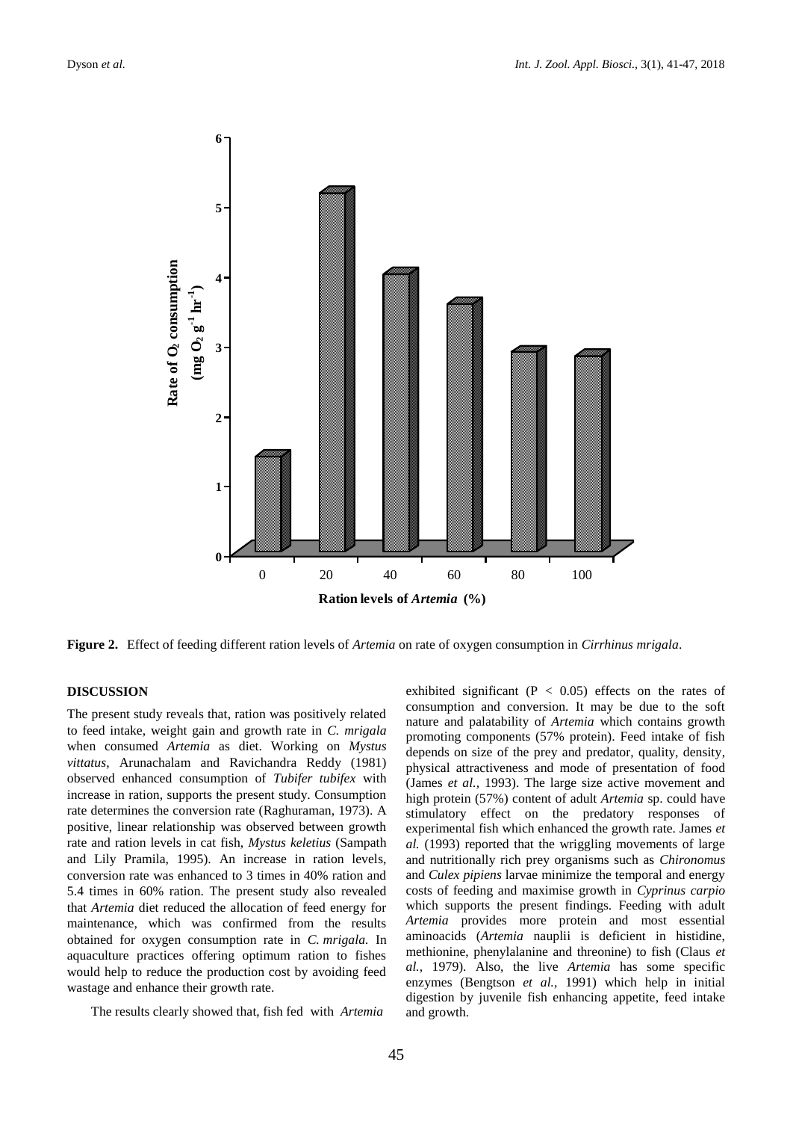

**Figure 2.** Effect of feeding different ration levels of *Artemia* on rate of oxygen consumption in *Cirrhinus mrigala*.

# **DISCUSSION**

The present study reveals that, ration was positively related to feed intake, weight gain and growth rate in *C. mrigala*  when consumed *Artemia* as diet. Working on *Mystus vittatus,* Arunachalam and Ravichandra Reddy (1981) observed enhanced consumption of *Tubifer tubifex* with increase in ration, supports the present study. Consumption rate determines the conversion rate (Raghuraman, 1973). A positive, linear relationship was observed between growth rate and ration levels in cat fish, *Mystus keletius* (Sampath and Lily Pramila, 1995). An increase in ration levels, conversion rate was enhanced to 3 times in 40% ration and 5.4 times in 60% ration. The present study also revealed that *Artemia* diet reduced the allocation of feed energy for maintenance, which was confirmed from the results obtained for oxygen consumption rate in *C. mrigala.* In aquaculture practices offering optimum ration to fishes would help to reduce the production cost by avoiding feed wastage and enhance their growth rate.

The results clearly showed that, fish fed with *Artemia* 

exhibited significant ( $P < 0.05$ ) effects on the rates of consumption and conversion. It may be due to the soft nature and palatability of *Artemia* which contains growth promoting components (57% protein). Feed intake of fish depends on size of the prey and predator, quality, density, physical attractiveness and mode of presentation of food (James *et al.,* 1993). The large size active movement and high protein (57%) content of adult *Artemia* sp. could have stimulatory effect on the predatory responses of experimental fish which enhanced the growth rate. James *et al.* (1993) reported that the wriggling movements of large and nutritionally rich prey organisms such as *Chironomus*  and *Culex pipiens* larvae minimize the temporal and energy costs of feeding and maximise growth in *Cyprinus carpio*  which supports the present findings. Feeding with adult *Artemia* provides more protein and most essential aminoacids (*Artemia* nauplii is deficient in histidine, methionine, phenylalanine and threonine) to fish (Claus *et al.,* 1979). Also, the live *Artemia* has some specific enzymes (Bengtson *et al.,* 1991) which help in initial digestion by juvenile fish enhancing appetite, feed intake and growth.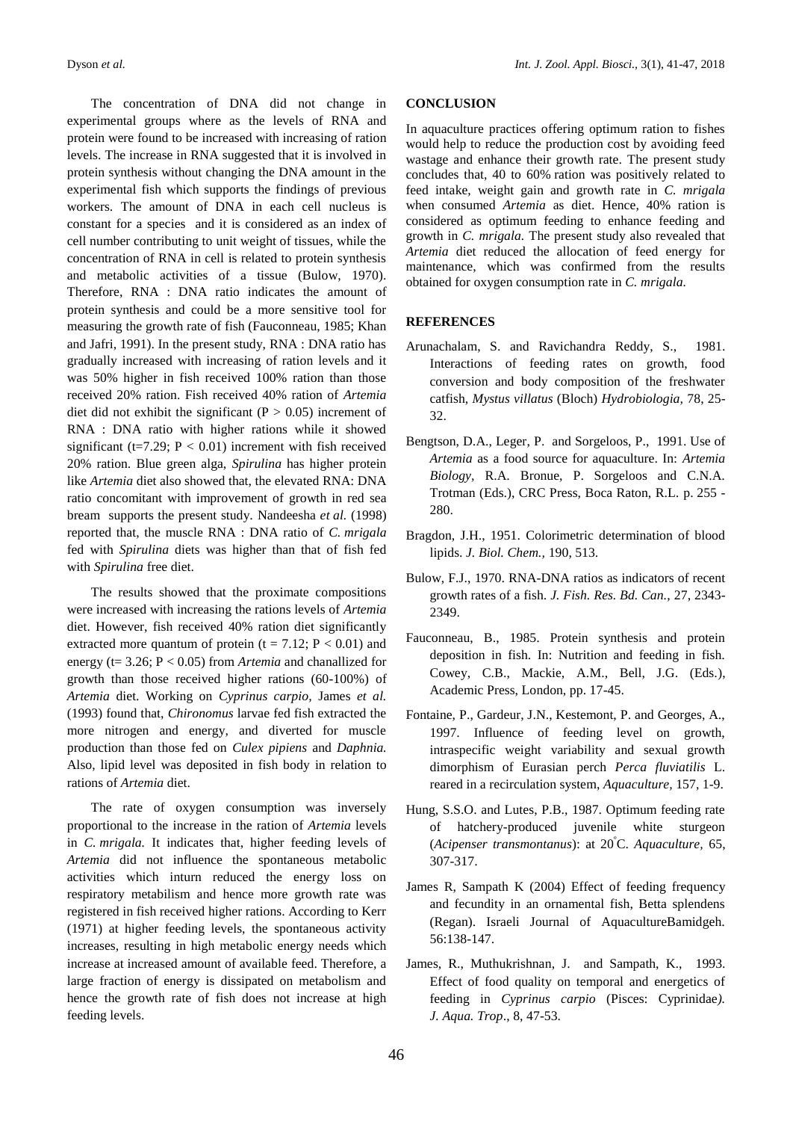The concentration of DNA did not change in experimental groups where as the levels of RNA and protein were found to be increased with increasing of ration levels. The increase in RNA suggested that it is involved in protein synthesis without changing the DNA amount in the experimental fish which supports the findings of previous workers. The amount of DNA in each cell nucleus is constant for a species and it is considered as an index of cell number contributing to unit weight of tissues, while the concentration of RNA in cell is related to protein synthesis and metabolic activities of a tissue (Bulow, 1970). Therefore, RNA : DNA ratio indicates the amount of protein synthesis and could be a more sensitive tool for measuring the growth rate of fish (Fauconneau, 1985; Khan and Jafri, 1991). In the present study, RNA : DNA ratio has gradually increased with increasing of ration levels and it was 50% higher in fish received 100% ration than those received 20% ration. Fish received 40% ration of *Artemia*  diet did not exhibit the significant ( $P > 0.05$ ) increment of RNA : DNA ratio with higher rations while it showed significant ( $t=7.29$ ;  $P < 0.01$ ) increment with fish received 20% ration. Blue green alga, *Spirulina* has higher protein like *Artemia* diet also showed that, the elevated RNA: DNA ratio concomitant with improvement of growth in red sea bream supports the present study. Nandeesha *et al.* (1998) reported that, the muscle RNA : DNA ratio of *C. mrigala*  fed with *Spirulina* diets was higher than that of fish fed with *Spirulina* free diet.

The results showed that the proximate compositions were increased with increasing the rations levels of *Artemia* diet. However, fish received 40% ration diet significantly extracted more quantum of protein ( $t = 7.12$ ;  $P < 0.01$ ) and energy (t= 3.26; P < 0.05) from *Artemia* and chanallized for growth than those received higher rations (60-100%) of *Artemia* diet. Working on *Cyprinus carpio,* James *et al.*  (1993) found that, *Chironomus* larvae fed fish extracted the more nitrogen and energy, and diverted for muscle production than those fed on *Culex pipiens* and *Daphnia.*  Also, lipid level was deposited in fish body in relation to rations of *Artemia* diet.

The rate of oxygen consumption was inversely proportional to the increase in the ration of *Artemia* levels in *C. mrigala.* It indicates that, higher feeding levels of *Artemia* did not influence the spontaneous metabolic activities which inturn reduced the energy loss on respiratory metabilism and hence more growth rate was registered in fish received higher rations. According to Kerr (1971) at higher feeding levels, the spontaneous activity increases, resulting in high metabolic energy needs which increase at increased amount of available feed. Therefore, a large fraction of energy is dissipated on metabolism and hence the growth rate of fish does not increase at high feeding levels.

# **CONCLUSION**

In aquaculture practices offering optimum ration to fishes would help to reduce the production cost by avoiding feed wastage and enhance their growth rate. The present study concludes that, 40 to 60% ration was positively related to feed intake, weight gain and growth rate in *C. mrigala*  when consumed *Artemia* as diet. Hence, 40% ration is considered as optimum feeding to enhance feeding and growth in *C. mrigala.* The present study also revealed that *Artemia* diet reduced the allocation of feed energy for maintenance, which was confirmed from the results obtained for oxygen consumption rate in *C. mrigala.*

## **REFERENCES**

- Arunachalam, S. and Ravichandra Reddy, S., 1981. Interactions of feeding rates on growth, food conversion and body composition of the freshwater catfish, *Mystus villatus* (Bloch) *Hydrobiologia,* 78, 25- 32.
- Bengtson, D.A., Leger, P. and Sorgeloos, P., 1991. Use of *Artemia* as a food source for aquaculture. In: *Artemia Biology,* R.A. Bronue, P. Sorgeloos and C.N.A. Trotman (Eds.), CRC Press, Boca Raton, R.L. p. 255 - 280.
- Bragdon, J.H., 1951. Colorimetric determination of blood lipids. *J. Biol. Chem.,* 190, 513.
- Bulow, F.J., 1970. RNA-DNA ratios as indicators of recent growth rates of a fish. *J. Fish. Res. Bd. Can.,* 27, 2343- 2349.
- Fauconneau, B., 1985. Protein synthesis and protein deposition in fish. In: Nutrition and feeding in fish. Cowey, C.B., Mackie, A.M., Bell, J.G. (Eds.), Academic Press, London, pp. 17-45.
- Fontaine, P., Gardeur, J.N., Kestemont, P. and Georges, A., 1997. Influence of feeding level on growth, intraspecific weight variability and sexual growth dimorphism of Eurasian perch *Perca fluviatilis* L. reared in a recirculation system, *Aquaculture,* 157, 1-9.
- Hung, S.S.O. and Lutes, P.B., 1987. Optimum feeding rate of hatchery-produced juvenile white sturgeon (*Acipenser transmontanus*): at 20<sup>º</sup>C. *Aquaculture,* 65, 307-317.
- James R, Sampath K (2004) Effect of feeding frequency and fecundity in an ornamental fish, Betta splendens (Regan). Israeli Journal of AquacultureBamidgeh. 56:138-147.
- James, R., Muthukrishnan, J. and Sampath, K., 1993. Effect of food quality on temporal and energetics of feeding in *Cyprinus carpio* (Pisces: Cyprinidae*). J. Aqua. Trop*., 8, 47-53.